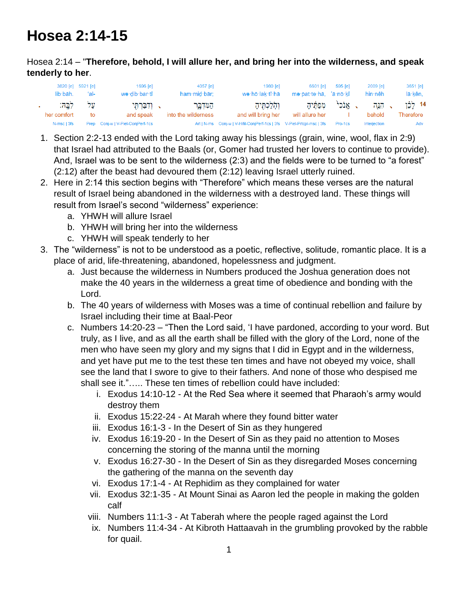## **Hosea 2:14-15**

## Hosea 2:14 – "**Therefore, behold, I will allure her, and bring her into the wilderness, and speak tenderly to her**.

| lib·bāh.    | 3820 [e] 5921 [e]<br>ʻal- | $1696$ [e]<br>wə·dib·bar·tî       | 4057 [e]<br>ham·mid·bār; | $1980$ [e]<br>we·hō·lak·tî·hā                                          | 6601 lel<br>me·pat·te·hā, 'ā·nō·kî | 595 [e]    | 2009 [e]<br>hin∙nêh | 3651 [e]<br>lā·kên, |
|-------------|---------------------------|-----------------------------------|--------------------------|------------------------------------------------------------------------|------------------------------------|------------|---------------------|---------------------|
| לְבָהּ:     | על                        | י ולברחי                          | הַמְּדְבֵר               | וְהָלַכְתִּיהָ                                                         | מפתיה                              | ּ. אֲנֹכִי | הגה                 | 14 לַכֶּן           |
| her comfort | to                        | and speak                         | into the wilderness      | and will bring her                                                     | will allure her                    |            | behold              | Therefore           |
| N-msc   3fs |                           | Prep Conj-w   V-Piel-ConjPerf-1cs |                          | Art   N-ms Conj-w   V-Hifil-ConjPerf-1cs   3fs V-Piel-Prtcpl-msc   3fs |                                    | Pro-1cs    | Interjection        | Adv                 |

- 1. Section 2:2-13 ended with the Lord taking away his blessings (grain, wine, wool, flax in 2:9) that Israel had attributed to the Baals (or, Gomer had trusted her lovers to continue to provide). And, Israel was to be sent to the wilderness (2:3) and the fields were to be turned to "a forest" (2:12) after the beast had devoured them (2:12) leaving Israel utterly ruined.
- 2. Here in 2:14 this section begins with "Therefore" which means these verses are the natural result of Israel being abandoned in the wilderness with a destroyed land. These things will result from Israel's second "wilderness" experience:
	- a. YHWH will allure Israel
	- b. YHWH will bring her into the wilderness
	- c. YHWH will speak tenderly to her
- 3. The "wilderness" is not to be understood as a poetic, reflective, solitude, romantic place. It is a place of arid, life-threatening, abandoned, hopelessness and judgment.
	- a. Just because the wilderness in Numbers produced the Joshua generation does not make the 40 years in the wilderness a great time of obedience and bonding with the Lord.
	- b. The 40 years of wilderness with Moses was a time of continual rebellion and failure by Israel including their time at Baal-Peor
	- c. Numbers 14:20-23 "Then the Lord said, 'I have pardoned, according to your word. But truly, as I live, and as all the earth shall be filled with the glory of the Lord, none of the men who have seen my glory and my signs that I did in Egypt and in the wilderness, and yet have put me to the test these ten times and have not obeyed my voice, shall see the land that I swore to give to their fathers. And none of those who despised me shall see it."….. These ten times of rebellion could have included:
		- i. Exodus 14:10-12 At the Red Sea where it seemed that Pharaoh's army would destroy them
		- ii. Exodus 15:22-24 At Marah where they found bitter water
		- iii. Exodus 16:1-3 In the Desert of Sin as they hungered
		- iv. Exodus 16:19-20 In the Desert of Sin as they paid no attention to Moses concerning the storing of the manna until the morning
		- v. Exodus 16:27-30 In the Desert of Sin as they disregarded Moses concerning the gathering of the manna on the seventh day
		- vi. Exodus 17:1-4 At Rephidim as they complained for water
		- vii. Exodus 32:1-35 At Mount Sinai as Aaron led the people in making the golden calf
		- viii. Numbers 11:1-3 At Taberah where the people raged against the Lord
		- ix. Numbers 11:4-34 At Kibroth Hattaavah in the grumbling provoked by the rabble for quail.